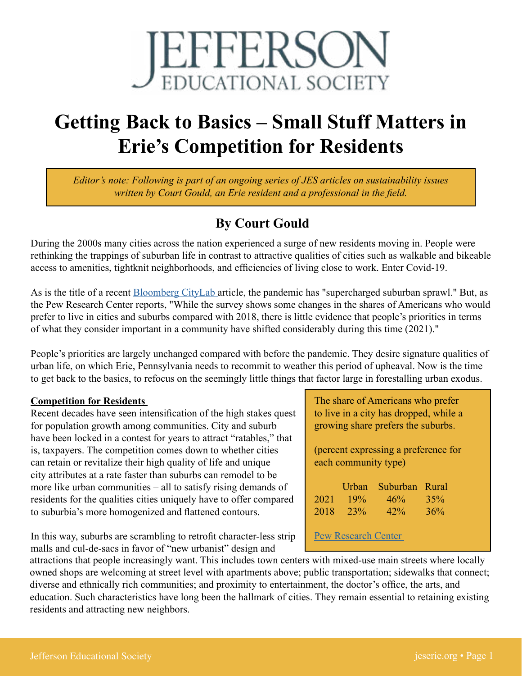

# **Getting Back to Basics – Small Stuff Matters in Erie's Competition for Residents**

*Editor's note: Following is part of an ongoing series of JES articles on sustainability issues written by Court Gould, an Erie resident and a professional in the field.* 

## **By Court Gould**

During the 2000s many cities across the nation experienced a surge of new residents moving in. People were rethinking the trappings of suburban life in contrast to attractive qualities of cities such as walkable and bikeable access to amenities, tightknit neighborhoods, and efficiencies of living close to work. Enter Covid-19.

As is the title of a recent [Bloomberg CityLab](https://www.bloomberg.com/news/features/2022-01-05/a-supernova-of-suburban-sprawl-fueled-by-covid) article, the pandemic has "supercharged suburban sprawl." But, as the Pew Research Center reports, "While the survey shows some changes in the shares of Americans who would prefer to live in cities and suburbs compared with 2018, there is little evidence that people's priorities in terms of what they consider important in a community have shifted considerably during this time (2021)."

People's priorities are largely unchanged compared with before the pandemic. They desire signature qualities of urban life, on which Erie, Pennsylvania needs to recommit to weather this period of upheaval. Now is the time to get back to the basics, to refocus on the seemingly little things that factor large in forestalling urban exodus.

#### **Competition for Residents**

Recent decades have seen intensification of the high stakes quest for population growth among communities. City and suburb have been locked in a contest for years to attract "ratables," that is, taxpayers. The competition comes down to whether cities can retain or revitalize their high quality of life and unique city attributes at a rate faster than suburbs can remodel to be more like urban communities – all to satisfy rising demands of residents for the qualities cities uniquely have to offer compared to suburbia's more homogenized and flattened contours.

In this way, suburbs are scrambling to retrofit character-less strip malls and cul-de-sacs in favor of "new urbanist" design and

attractions that people increasingly want. This includes town centers with mixed-use main streets where locally owned shops are welcoming at street level with apartments above; public transportation; sidewalks that connect; diverse and ethnically rich communities; and proximity to entertainment, the doctor's office, the arts, and education. Such characteristics have long been the hallmark of cities. They remain essential to retaining existing

residents and attracting new neighbors.

The share of Americans who prefer to live in a city has dropped, while a growing share prefers the suburbs.

(percent expressing a preference for each community type)

|      | Urban | Suburban Rural |     |
|------|-------|----------------|-----|
| 2021 | 19%   | 46%            | 35% |
| 2018 | 23%   | 42%            | 36% |
|      |       |                |     |

Pew [Research Center](https://www.pewresearch.org/social-trends/2021/12/16/americans-are-less-likely-than-before-covid-19-to-want-to-live-in-cities-more-likely-to-prefer-suburbs/)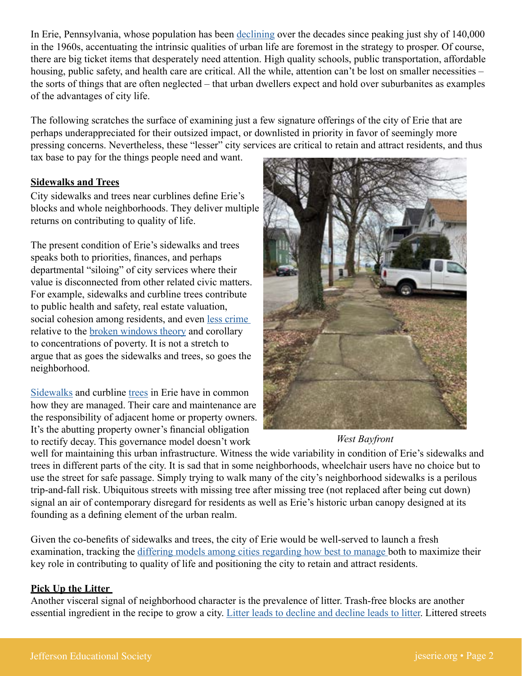In Erie, Pennsylvania, whose population has been [declining](https://worldpopulationreview.com/us-cities/erie-pa-population) over the decades since peaking just shy of 140,000 in the 1960s, accentuating the intrinsic qualities of urban life are foremost in the strategy to prosper. Of course, there are big ticket items that desperately need attention. High quality schools, public transportation, affordable housing, public safety, and health care are critical. All the while, attention can't be lost on smaller necessities – the sorts of things that are often neglected – that urban dwellers expect and hold over suburbanites as examples of the advantages of city life.

The following scratches the surface of examining just a few signature offerings of the city of Erie that are perhaps underappreciated for their outsized impact, or downlisted in priority in favor of seemingly more pressing concerns. Nevertheless, these "lesser" city services are critical to retain and attract residents, and thus

tax base to pay for the things people need and want.

#### **Sidewalks and Trees**

City sidewalks and trees near curblines define Erie's blocks and whole neighborhoods. They deliver multiple returns on contributing to quality of life.

The present condition of Erie's sidewalks and trees speaks both to priorities, finances, and perhaps departmental "siloing" of city services where their value is disconnected from other related civic matters. For example, sidewalks and curbline trees contribute to public health and safety, real estate valuation, social cohesion among residents, and even [less crime](https://pubmed.ncbi.nlm.nih.gov/30240934/)  relative to the [broken windows theory](https://www.simplypsychology.org/broken-windows-theory.html) and corollary to concentrations of poverty. It is not a stretch to argue that as goes the sidewalks and trees, so goes the neighborhood.

[Sidewalks](https://ecode360.com/33837033) and curbline [trees](https://ecode360.com/33834523) in Erie have in common how they are managed. Their care and maintenance are the responsibility of adjacent home or property owners. It's the abutting property owner's financial obligation to rectify decay. This governance model doesn't work



### *West Bayfront*

well for maintaining this urban infrastructure. Witness the wide variability in condition of Erie's sidewalks and trees in different parts of the city. It is sad that in some neighborhoods, wheelchair users have no choice but to use the street for safe passage. Simply trying to walk many of the city's neighborhood sidewalks is a perilous trip-and-fall risk. Ubiquitous streets with missing tree after missing tree (not replaced after being cut down) signal an air of contemporary disregard for residents as well as Erie's historic urban canopy designed at its founding as a defining element of the urban realm.

Given the co-benefits of sidewalks and trees, the city of Erie would be well-served to launch a fresh examination, tracking the [differing models among cities regarding how best to manage](https://www.smartcitiesdive.com/ex/sustainablecitiescollective/who-owns-our-sidewalks/1070841/) both to maximize their key role in contributing to quality of life and positioning the city to retain and attract residents.

#### **Pick Up the Litter**

Another visceral signal of neighborhood character is the prevalence of litter. Trash-free blocks are another essential ingredient in the recipe to grow a city. [Litter leads to decline and decline leads to litter](https://www.penndot.gov/about-us/RoadsideBeautification/LitterFacts/Pages/Litter-Facts-and-Myths.aspx). Littered streets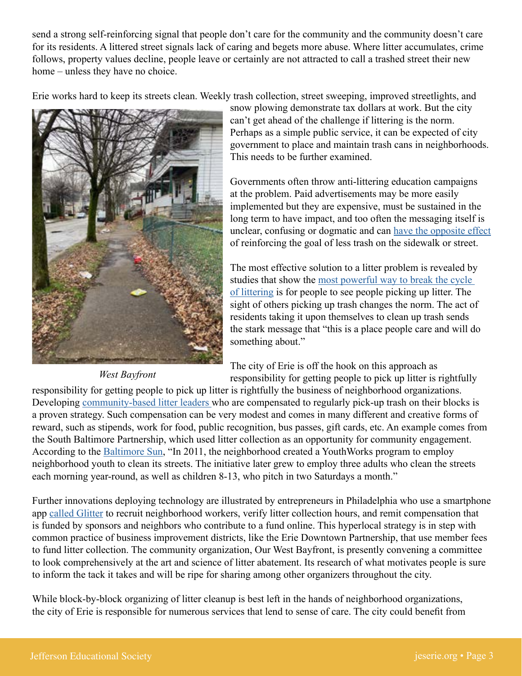send a strong self-reinforcing signal that people don't care for the community and the community doesn't care for its residents. A littered street signals lack of caring and begets more abuse. Where litter accumulates, crime follows, property values decline, people leave or certainly are not attracted to call a trashed street their new home – unless they have no choice.

Erie works hard to keep its streets clean. Weekly trash collection, street sweeping, improved streetlights, and



*West Bayfront*

snow plowing demonstrate tax dollars at work. But the city can't get ahead of the challenge if littering is the norm. Perhaps as a simple public service, it can be expected of city government to place and maintain trash cans in neighborhoods. This needs to be further examined.

Governments often throw anti-littering education campaigns at the problem. Paid advertisements may be more easily implemented but they are expensive, must be sustained in the long term to have impact, and too often the messaging itself is unclear, confusing or dogmatic and can [have the opposite effect](https://www.sustainablesidekicks.com/blog/littering-why-this-sign-wont-improve-littering)  of reinforcing the goal of less trash on the sidewalk or street.

The most effective solution to a litter problem is revealed by studies that show the [most powerful way to break the cycle](https://www.theatlantic.com/health/archive/2014/08/littering-and-following-the-crowd/374913/)  [of littering](https://www.theatlantic.com/health/archive/2014/08/littering-and-following-the-crowd/374913/) is for people to see people picking up litter. The sight of others picking up trash changes the norm. The act of residents taking it upon themselves to clean up trash sends the stark message that "this is a place people care and will do something about."

The city of Erie is off the hook on this approach as responsibility for getting people to pick up litter is rightfully

responsibility for getting people to pick up litter is rightfully the business of neighborhood organizations. Developing [community-based litter leaders](https://nextpittsburgh.com/latest-news/pittsburgh-street-stewards-seeks-volunteers-to-redd-up-the-city/) who are compensated to regularly pick-up trash on their blocks is a proven strategy. Such compensation can be very modest and comes in many different and creative forms of reward, such as stipends, work for food, public recognition, bus passes, gift cards, etc. An example comes from the South Baltimore Partnership, which used litter collection as an opportunity for community engagement. According to the [Baltimore Sun](https://www.baltimoresun.com/ask/bs-md-ci-hearken-trash-20190502-story.html), "In 2011, the neighborhood created a YouthWorks program to employ neighborhood youth to clean its streets. The initiative later grew to employ three adults who clean the streets each morning year-round, as well as children 8-13, who pitch in two Saturdays a month."

Further innovations deploying technology are illustrated by entrepreneurs in Philadelphia who use a smartphone app [called Glitter](https://www.phillyvoice.com/glitter-app-philadelphia-trash-litter-yafavtrashman-milkcrate-berman/) to recruit neighborhood workers, verify litter collection hours, and remit compensation that is funded by sponsors and neighbors who contribute to a fund online. This hyperlocal strategy is in step with common practice of business improvement districts, like the Erie Downtown Partnership, that use member fees to fund litter collection. The community organization, Our West Bayfront, is presently convening a committee to look comprehensively at the art and science of litter abatement. Its research of what motivates people is sure to inform the tack it takes and will be ripe for sharing among other organizers throughout the city.

While block-by-block organizing of litter cleanup is best left in the hands of neighborhood organizations, the city of Erie is responsible for numerous services that lend to sense of care. The city could benefit from